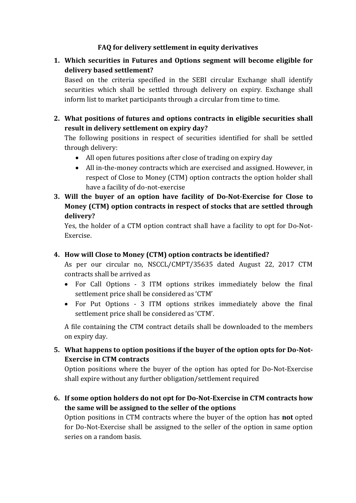# **FAQ for delivery settlement in equity derivatives**

**1. Which securities in Futures and Options segment will become eligible for delivery based settlement?**

Based on the criteria specified in the SEBI circular Exchange shall identify securities which shall be settled through delivery on expiry. Exchange shall inform list to market participants through a circular from time to time.

**2. What positions of futures and options contracts in eligible securities shall result in delivery settlement on expiry day?**

The following positions in respect of securities identified for shall be settled through delivery:

- All open futures positions after close of trading on expiry day
- All in-the-money contracts which are exercised and assigned. However, in respect of Close to Money (CTM) option contracts the option holder shall have a facility of do-not-exercise
- **3. Will the buyer of an option have facility of Do-Not-Exercise for Close to Money (CTM) option contracts in respect of stocks that are settled through delivery?**

Yes, the holder of a CTM option contract shall have a facility to opt for Do-Not-Exercise.

# **4. How will Close to Money (CTM) option contracts be identified?**

As per our circular no, NSCCL/CMPT/35635 dated August 22, 2017 CTM contracts shall be arrived as

- For Call Options 3 ITM options strikes immediately below the final settlement price shall be considered as 'CTM'
- For Put Options 3 ITM options strikes immediately above the final settlement price shall be considered as 'CTM'.

A file containing the CTM contract details shall be downloaded to the members on expiry day.

**5. What happens to option positions if the buyer of the option opts for Do-Not-Exercise in CTM contracts**

Option positions where the buyer of the option has opted for Do-Not-Exercise shall expire without any further obligation/settlement required

**6. If some option holders do not opt for Do-Not-Exercise in CTM contracts how the same will be assigned to the seller of the options**

Option positions in CTM contracts where the buyer of the option has **not** opted for Do-Not-Exercise shall be assigned to the seller of the option in same option series on a random basis.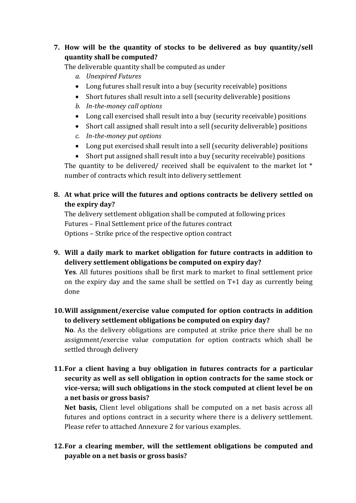# **7. How will be the quantity of stocks to be delivered as buy quantity/sell quantity shall be computed?**

The deliverable quantity shall be computed as under

- *a. Unexpired Futures*
- Long futures shall result into a buy (security receivable) positions
- Short futures shall result into a sell (security deliverable) positions
- *b. In-the-money call options*
- Long call exercised shall result into a buy (security receivable) positions
- Short call assigned shall result into a sell (security deliverable) positions
- *c. In-the-money put options*
- Long put exercised shall result into a sell (security deliverable) positions

 Short put assigned shall result into a buy (security receivable) positions The quantity to be delivered/ received shall be equivalent to the market lot \* number of contracts which result into delivery settlement

# **8. At what price will the futures and options contracts be delivery settled on the expiry day?**

The delivery settlement obligation shall be computed at following prices Futures – Final Settlement price of the futures contract Options – Strike price of the respective option contract

**9. Will a daily mark to market obligation for future contracts in addition to delivery settlement obligations be computed on expiry day?** 

**Yes**. All futures positions shall be first mark to market to final settlement price on the expiry day and the same shall be settled on T+1 day as currently being done

**10.Will assignment/exercise value computed for option contracts in addition to delivery settlement obligations be computed on expiry day?** 

**No**. As the delivery obligations are computed at strike price there shall be no assignment/exercise value computation for option contracts which shall be settled through delivery

**11.For a client having a buy obligation in futures contracts for a particular security as well as sell obligation in option contracts for the same stock or vice-versa; will such obligations in the stock computed at client level be on a net basis or gross basis?**

**Net basis,** Client level obligations shall be computed on a net basis across all futures and options contract in a security where there is a delivery settlement. Please refer to attached Annexure 2 for various examples.

**12.For a clearing member, will the settlement obligations be computed and payable on a net basis or gross basis?**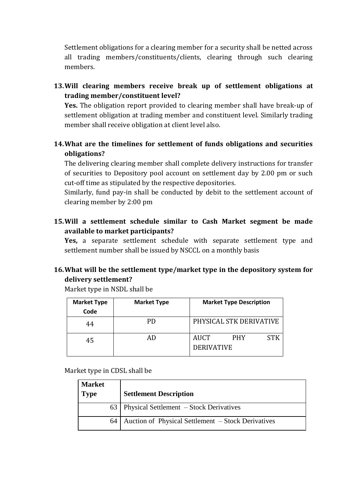Settlement obligations for a clearing member for a security shall be netted across all trading members/constituents/clients, clearing through such clearing members.

**13.Will clearing members receive break up of settlement obligations at trading member/constituent level?**

**Yes.** The obligation report provided to clearing member shall have break-up of settlement obligation at trading member and constituent level. Similarly trading member shall receive obligation at client level also.

# **14.What are the timelines for settlement of funds obligations and securities obligations?**

The delivering clearing member shall complete delivery instructions for transfer of securities to Depository pool account on settlement day by 2.00 pm or such cut-off time as stipulated by the respective depositories.

Similarly, fund pay-in shall be conducted by debit to the settlement account of clearing member by 2:00 pm

**15.Will a settlement schedule similar to Cash Market segment be made available to market participants?**

**Yes,** a separate settlement schedule with separate settlement type and settlement number shall be issued by NSCCL on a monthly basis

# **16.What will be the settlement type/market type in the depository system for delivery settlement?**

Market type in NSDL shall be

| <b>Market Type</b> | <b>Market Type</b><br><b>Market Type Description</b> |                                                       |
|--------------------|------------------------------------------------------|-------------------------------------------------------|
| Code               |                                                      |                                                       |
| 44                 | PD                                                   | PHYSICAL STK DERIVATIVE                               |
| 45                 |                                                      | <b>AUCT</b><br>STK<br><b>PHY</b><br><b>DERIVATIVE</b> |

Market type in CDSL shall be

| <b>Market</b><br><b>Type</b> | <b>Settlement Description</b>                      |
|------------------------------|----------------------------------------------------|
|                              | 63   Physical Settlement – Stock Derivatives       |
| 64                           | Auction of Physical Settlement – Stock Derivatives |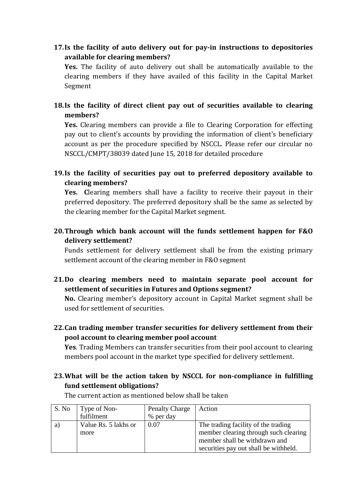**17.Is the facility of auto delivery out for pay-in instructions to depositories available for clearing members?**

**Yes.** The facility of auto delivery out shall be automatically available to the clearing members if they have availed of this facility in the Capital Market Segment

**18.Is the facility of direct client pay out of securities available to clearing members?**

**Yes.** Clearing members can provide a file to Clearing Corporation for effecting pay out to client's accounts by providing the information of client's beneficiary account as per the procedure specified by NSCCL. Please refer our circular no NSCCL/CMPT/38039 dated June 15, 2018 for detailed procedure

**19.Is the facility of securities pay out to preferred depository available to clearing members?**

**Yes. C**learing members shall have a facility to receive their payout in their preferred depository. The preferred depository shall be the same as selected by the clearing member for the Capital Market segment.

**20.Through which bank account will the funds settlement happen for F&O delivery settlement?**

Funds settlement for delivery settlement shall be from the existing primary settlement account of the clearing member in F&O segment

**21.Do clearing members need to maintain separate pool account for settlement of securities in Futures and Options segment?**

**No.** Clearing member's depository account in Capital Market segment shall be used for settlement of securities.

**22.Can trading member transfer securities for delivery settlement from their pool account to clearing member pool account**

**Yes**. Trading Members can transfer securities from their pool account to clearing members pool account in the market type specified for delivery settlement.

# **23.What will be the action taken by NSCCL for non-compliance in fulfilling fund settlement obligations?**

| S. No | Type of Non-         | <b>Penalty Charge</b> | Action                                |
|-------|----------------------|-----------------------|---------------------------------------|
|       | fulfilment           | % per day             |                                       |
| a     | Value Rs. 5 lakhs or | 0.07                  | The trading facility of the trading   |
|       | more                 |                       | member clearing through such clearing |
|       |                      |                       | member shall be withdrawn and         |
|       |                      |                       | securities pay out shall be withheld. |

The current action as mentioned below shall be taken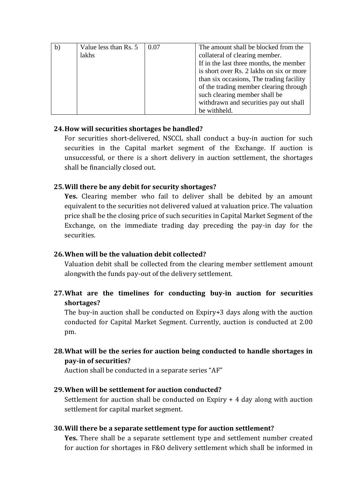| b) | Value less than Rs. 5 | 0.07 | The amount shall be blocked from the     |
|----|-----------------------|------|------------------------------------------|
|    | lakhs                 |      | collateral of clearing member.           |
|    |                       |      | If in the last three months, the member  |
|    |                       |      | is short over Rs. 2 lakhs on six or more |
|    |                       |      | than six occasions, The trading facility |
|    |                       |      | of the trading member clearing through   |
|    |                       |      | such clearing member shall be            |
|    |                       |      | withdrawn and securities pay out shall   |
|    |                       |      | be withheld.                             |

### **24.How will securities shortages be handled?**

For securities short-delivered, NSCCL shall conduct a buy-in auction for such securities in the Capital market segment of the Exchange. If auction is unsuccessful, or there is a short delivery in auction settlement, the shortages shall be financially closed out.

### **25.Will there be any debit for security shortages?**

**Yes.** Clearing member who fail to deliver shall be debited by an amount equivalent to the securities not delivered valued at valuation price. The valuation price shall be the closing price of such securities in Capital Market Segment of the Exchange, on the immediate trading day preceding the pay-in day for the securities.

# **26.When will be the valuation debit collected?**

Valuation debit shall be collected from the clearing member settlement amount alongwith the funds pay-out of the delivery settlement.

**27.What are the timelines for conducting buy-in auction for securities shortages?**

The buy-in auction shall be conducted on Expiry+3 days along with the auction conducted for Capital Market Segment. Currently, auction is conducted at 2.00 pm.

**28.What will be the series for auction being conducted to handle shortages in pay-in of securities?**

Auction shall be conducted in a separate series "AF"

# **29.When will be settlement for auction conducted?**

Settlement for auction shall be conducted on Expiry + 4 day along with auction settlement for capital market segment.

# **30.Will there be a separate settlement type for auction settlement?**

**Yes.** There shall be a separate settlement type and settlement number created for auction for shortages in F&O delivery settlement which shall be informed in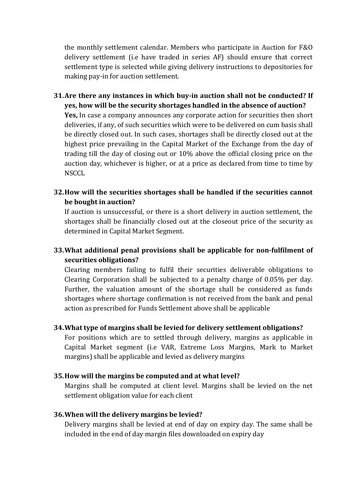the monthly settlement calendar. Members who participate in Auction for F&O delivery settlement (i.e have traded in series AF) should ensure that correct settlement type is selected while giving delivery instructions to depositories for making pay-in for auction settlement.

- **31.Are there any instances in which buy-in auction shall not be conducted? If yes, how will be the security shortages handled in the absence of auction? Yes,** In case a company announces any corporate action for securities then short deliveries, if any, of such securities which were to be delivered on cum basis shall be directly closed out. In such cases, shortages shall be directly closed out at the highest price prevailing in the Capital Market of the Exchange from the day of trading till the day of closing out or 10% above the official closing price on the auction day, whichever is higher, or at a price as declared from time to time by **NSCCL**
- **32.How will the securities shortages shall be handled if the securities cannot be bought in auction?**

If auction is unsuccessful, or there is a short delivery in auction settlement, the shortages shall be financially closed out at the closeout price of the security as determined in Capital Market Segment.

**33.What additional penal provisions shall be applicable for non-fulfilment of securities obligations?**

Clearing members failing to fulfil their securities deliverable obligations to Clearing Corporation shall be subjected to a penalty charge of 0.05% per day. Further, the valuation amount of the shortage shall be considered as funds shortages where shortage confirmation is not received from the bank and penal action as prescribed for Funds Settlement above shall be applicable

#### **34.What type of margins shall be levied for delivery settlement obligations?**

For positions which are to settled through delivery, margins as applicable in Capital Market segment (i.e VAR, Extreme Loss Margins, Mark to Market margins) shall be applicable and levied as delivery margins

#### **35.How will the margins be computed and at what level?**

Margins shall be computed at client level. Margins shall be levied on the net settlement obligation value for each client

#### **36.When will the delivery margins be levied?**

Delivery margins shall be levied at end of day on expiry day. The same shall be included in the end of day margin files downloaded on expiry day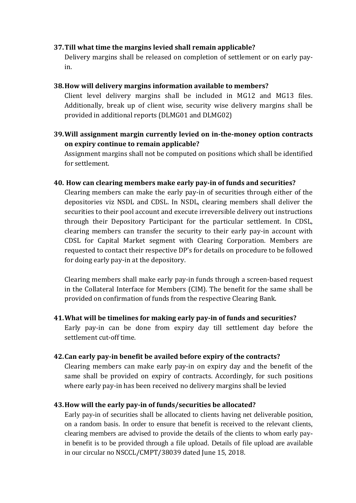#### **37.Till what time the margins levied shall remain applicable?**

Delivery margins shall be released on completion of settlement or on early payin.

#### **38.How will delivery margins information available to members?**

Client level delivery margins shall be included in MG12 and MG13 files. Additionally, break up of client wise, security wise delivery margins shall be provided in additional reports (DLMG01 and DLMG02)

# **39.Will assignment margin currently levied on in-the-money option contracts on expiry continue to remain applicable?**

Assignment margins shall not be computed on positions which shall be identified for settlement.

#### **40. How can clearing members make early pay-in of funds and securities?**

Clearing members can make the early pay-in of securities through either of the depositories viz NSDL and CDSL. In NSDL, clearing members shall deliver the securities to their pool account and execute irreversible delivery out instructions through their Depository Participant for the particular settlement. In CDSL, clearing members can transfer the security to their early pay-in account with CDSL for Capital Market segment with Clearing Corporation. Members are requested to contact their respective DP's for details on procedure to be followed for doing early pay-in at the depository.

Clearing members shall make early pay-in funds through a screen-based request in the Collateral Interface for Members (CIM). The benefit for the same shall be provided on confirmation of funds from the respective Clearing Bank.

### **41.What will be timelines for making early pay-in of funds and securities?**

Early pay-in can be done from expiry day till settlement day before the settlement cut-off time.

#### **42.Can early pay-in benefit be availed before expiry of the contracts?**

Clearing members can make early pay-in on expiry day and the benefit of the same shall be provided on expiry of contracts. Accordingly, for such positions where early pay-in has been received no delivery margins shall be levied

#### **43.How will the early pay-in of funds/securities be allocated?**

Early pay-in of securities shall be allocated to clients having net deliverable position, on a random basis. In order to ensure that benefit is received to the relevant clients, clearing members are advised to provide the details of the clients to whom early payin benefit is to be provided through a file upload. Details of file upload are available in our circular no NSCCL/CMPT/38039 dated June 15, 2018.